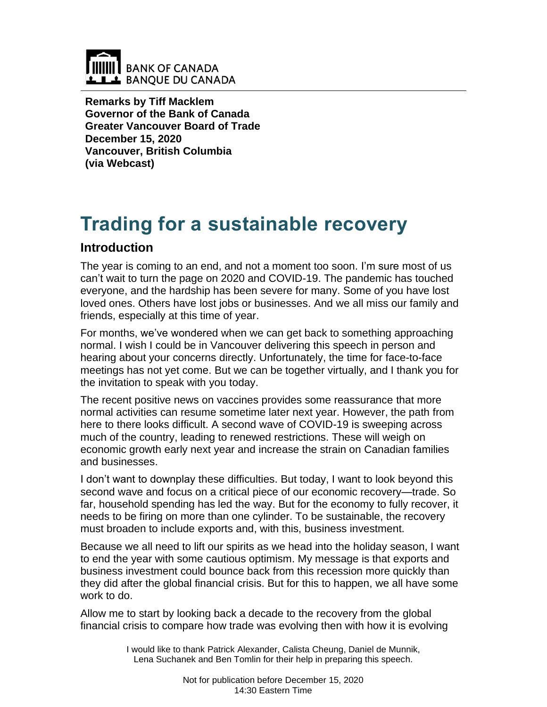

**Remarks by Tiff Macklem Governor of the Bank of Canada Greater Vancouver Board of Trade December 15, 2020 Vancouver, British Columbia (via Webcast)**

# **Trading for a sustainable recovery**

# **Introduction**

The year is coming to an end, and not a moment too soon. I'm sure most of us can't wait to turn the page on 2020 and COVID-19. The pandemic has touched everyone, and the hardship has been severe for many. Some of you have lost loved ones. Others have lost jobs or businesses. And we all miss our family and friends, especially at this time of year.

For months, we've wondered when we can get back to something approaching normal. I wish I could be in Vancouver delivering this speech in person and hearing about your concerns directly. Unfortunately, the time for face-to-face meetings has not yet come. But we can be together virtually, and I thank you for the invitation to speak with you today.

The recent positive news on vaccines provides some reassurance that more normal activities can resume sometime later next year. However, the path from here to there looks difficult. A second wave of COVID-19 is sweeping across much of the country, leading to renewed restrictions. These will weigh on economic growth early next year and increase the strain on Canadian families and businesses.

I don't want to downplay these difficulties. But today, I want to look beyond this second wave and focus on a critical piece of our economic recovery—trade. So far, household spending has led the way. But for the economy to fully recover, it needs to be firing on more than one cylinder. To be sustainable, the recovery must broaden to include exports and, with this, business investment.

Because we all need to lift our spirits as we head into the holiday season, I want to end the year with some cautious optimism. My message is that exports and business investment could bounce back from this recession more quickly than they did after the global financial crisis. But for this to happen, we all have some work to do.

Allow me to start by looking back a decade to the recovery from the global financial crisis to compare how trade was evolving then with how it is evolving

> I would like to thank Patrick Alexander, Calista Cheung, Daniel de Munnik, Lena Suchanek and Ben Tomlin for their help in preparing this speech.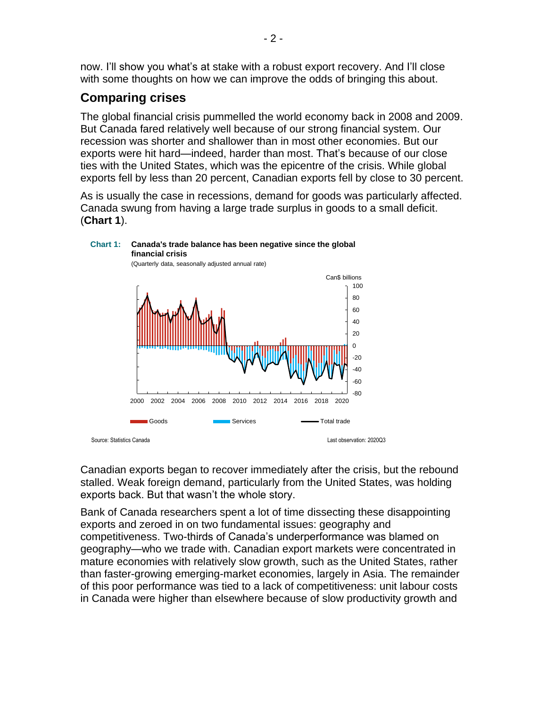now. I'll show you what's at stake with a robust export recovery. And I'll close with some thoughts on how we can improve the odds of bringing this about.

# **Comparing crises**

The global financial crisis pummelled the world economy back in 2008 and 2009. But Canada fared relatively well because of our strong financial system. Our recession was shorter and shallower than in most other economies. But our exports were hit hard—indeed, harder than most. That's because of our close ties with the United States, which was the epicentre of the crisis. While global exports fell by less than 20 percent, Canadian exports fell by close to 30 percent.

As is usually the case in recessions, demand for goods was particularly affected. Canada swung from having a large trade surplus in goods to a small deficit. (**Chart 1**).



Canadian exports began to recover immediately after the crisis, but the rebound stalled. Weak foreign demand, particularly from the United States, was holding exports back. But that wasn't the whole story.

Bank of Canada researchers spent a lot of time dissecting these disappointing exports and zeroed in on two fundamental issues: geography and competitiveness. Two-thirds of Canada's underperformance was blamed on geography—who we trade with. Canadian export markets were concentrated in mature economies with relatively slow growth, such as the United States, rather than faster-growing emerging-market economies, largely in Asia. The remainder of this poor performance was tied to a lack of competitiveness: unit labour costs in Canada were higher than elsewhere because of slow productivity growth and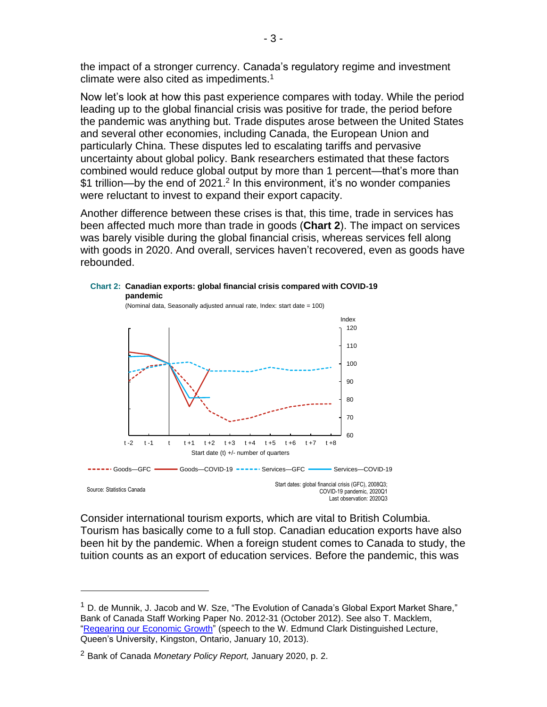the impact of a stronger currency. Canada's regulatory regime and investment climate were also cited as impediments. $1$ 

Now let's look at how this past experience compares with today. While the period leading up to the global financial crisis was positive for trade, the period before the pandemic was anything but. Trade disputes arose between the United States and several other economies, including Canada, the European Union and particularly China. These disputes led to escalating tariffs and pervasive uncertainty about global policy. Bank researchers estimated that these factors combined would reduce global output by more than 1 percent—that's more than \$1 trillion—by the end of 2021.<sup>2</sup> In this environment, it's no wonder companies were reluctant to invest to expand their export capacity.

Another difference between these crises is that, this time, trade in services has been affected much more than trade in goods (**Chart 2**). The impact on services was barely visible during the global financial crisis, whereas services fell along with goods in 2020. And overall, services haven't recovered, even as goods have rebounded.



Consider international tourism exports, which are vital to British Columbia. Tourism has basically come to a full stop. Canadian education exports have also been hit by the pandemic. When a foreign student comes to Canada to study, the tuition counts as an export of education services. Before the pandemic, this was

 $1$  D. de Munnik, J. Jacob and W. Sze, "The Evolution of Canada's Global Export Market Share." Bank of Canada Staff Working Paper No. 2012-31 (October 2012). See also T. Macklem, ["Regearing our Economic Growth"](http://www.bankofcanada.ca/?p=92654) (speech to the W. Edmund Clark Distinguished Lecture, Queen's University, Kingston, Ontario, January 10, 2013).

<sup>2</sup> Bank of Canada *Monetary Policy Report,* January 2020, p. 2.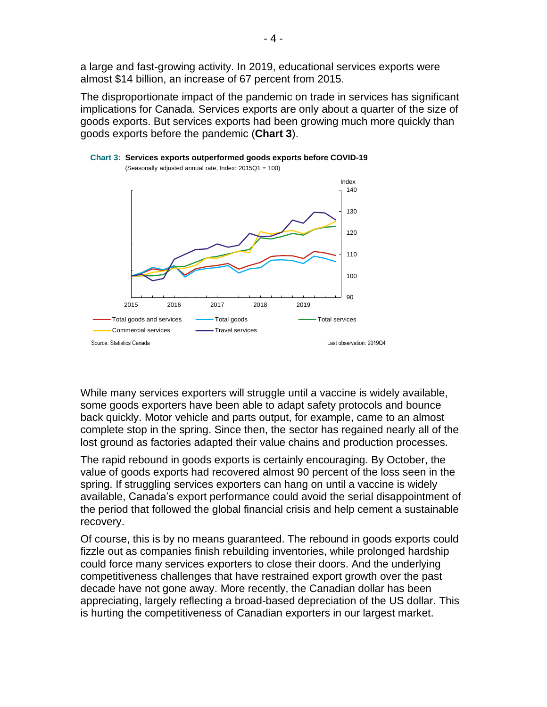a large and fast-growing activity. In 2019, educational services exports were almost \$14 billion, an increase of 67 percent from 2015.

The disproportionate impact of the pandemic on trade in services has significant implications for Canada. Services exports are only about a quarter of the size of goods exports. But services exports had been growing much more quickly than goods exports before the pandemic (**Chart 3**).



**Chart 3: Services exports outperformed goods exports before COVID-19** (Seasonally adjusted annual rate, Index: 2015Q1 = 100)

While many services exporters will struggle until a vaccine is widely available, some goods exporters have been able to adapt safety protocols and bounce back quickly. Motor vehicle and parts output, for example, came to an almost complete stop in the spring. Since then, the sector has regained nearly all of the lost ground as factories adapted their value chains and production processes.

The rapid rebound in goods exports is certainly encouraging. By October, the value of goods exports had recovered almost 90 percent of the loss seen in the spring. If struggling services exporters can hang on until a vaccine is widely available, Canada's export performance could avoid the serial disappointment of the period that followed the global financial crisis and help cement a sustainable recovery.

Of course, this is by no means guaranteed. The rebound in goods exports could fizzle out as companies finish rebuilding inventories, while prolonged hardship could force many services exporters to close their doors. And the underlying competitiveness challenges that have restrained export growth over the past decade have not gone away. More recently, the Canadian dollar has been appreciating, largely reflecting a broad-based depreciation of the US dollar. This is hurting the competitiveness of Canadian exporters in our largest market.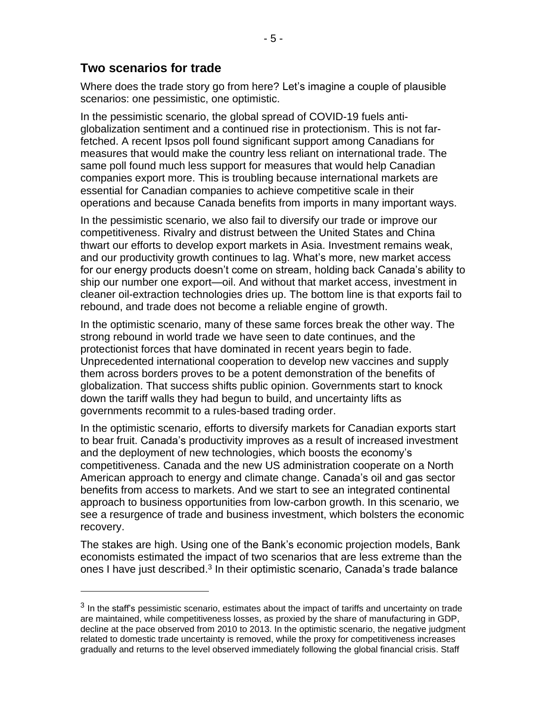## **Two scenarios for trade**

Where does the trade story go from here? Let's imagine a couple of plausible scenarios: one pessimistic, one optimistic.

In the pessimistic scenario, the global spread of COVID-19 fuels antiglobalization sentiment and a continued rise in protectionism. This is not farfetched. A recent Ipsos poll found significant support among Canadians for measures that would make the country less reliant on international trade. The same poll found much less support for measures that would help Canadian companies export more. This is troubling because international markets are essential for Canadian companies to achieve competitive scale in their operations and because Canada benefits from imports in many important ways.

In the pessimistic scenario, we also fail to diversify our trade or improve our competitiveness. Rivalry and distrust between the United States and China thwart our efforts to develop export markets in Asia. Investment remains weak, and our productivity growth continues to lag. What's more, new market access for our energy products doesn't come on stream, holding back Canada's ability to ship our number one export—oil. And without that market access, investment in cleaner oil-extraction technologies dries up. The bottom line is that exports fail to rebound, and trade does not become a reliable engine of growth.

In the optimistic scenario, many of these same forces break the other way. The strong rebound in world trade we have seen to date continues, and the protectionist forces that have dominated in recent years begin to fade. Unprecedented international cooperation to develop new vaccines and supply them across borders proves to be a potent demonstration of the benefits of globalization. That success shifts public opinion. Governments start to knock down the tariff walls they had begun to build, and uncertainty lifts as governments recommit to a rules-based trading order.

In the optimistic scenario, efforts to diversify markets for Canadian exports start to bear fruit. Canada's productivity improves as a result of increased investment and the deployment of new technologies, which boosts the economy's competitiveness. Canada and the new US administration cooperate on a North American approach to energy and climate change. Canada's oil and gas sector benefits from access to markets. And we start to see an integrated continental approach to business opportunities from low-carbon growth. In this scenario, we see a resurgence of trade and business investment, which bolsters the economic recovery.

The stakes are high. Using one of the Bank's economic projection models, Bank economists estimated the impact of two scenarios that are less extreme than the ones I have just described.<sup>3</sup> In their optimistic scenario, Canada's trade balance

 $3$  In the staff's pessimistic scenario, estimates about the impact of tariffs and uncertainty on trade are maintained, while competitiveness losses, as proxied by the share of manufacturing in GDP, decline at the pace observed from 2010 to 2013. In the optimistic scenario, the negative judgment related to domestic trade uncertainty is removed, while the proxy for competitiveness increases gradually and returns to the level observed immediately following the global financial crisis. Staff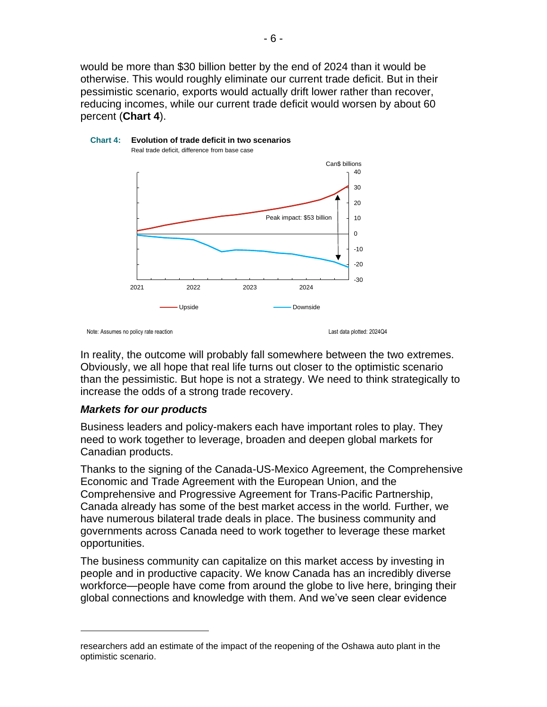would be more than \$30 billion better by the end of 2024 than it would be otherwise. This would roughly eliminate our current trade deficit. But in their pessimistic scenario, exports would actually drift lower rather than recover, reducing incomes, while our current trade deficit would worsen by about 60 percent (**Chart 4**).





Note: Assumes no policy rate reaction

Last data plotted: 2024Q4

In reality, the outcome will probably fall somewhere between the two extremes. Obviously, we all hope that real life turns out closer to the optimistic scenario than the pessimistic. But hope is not a strategy. We need to think strategically to increase the odds of a strong trade recovery.

#### *Markets for our products*

Business leaders and policy-makers each have important roles to play. They need to work together to leverage, broaden and deepen global markets for Canadian products.

Thanks to the signing of the Canada-US-Mexico Agreement, the Comprehensive Economic and Trade Agreement with the European Union, and the Comprehensive and Progressive Agreement for Trans-Pacific Partnership, Canada already has some of the best market access in the world*.* Further, we have numerous bilateral trade deals in place. The business community and governments across Canada need to work together to leverage these market opportunities.

The business community can capitalize on this market access by investing in people and in productive capacity. We know Canada has an incredibly diverse workforce—people have come from around the globe to live here, bringing their global connections and knowledge with them. And we've seen clear evidence

researchers add an estimate of the impact of the reopening of the Oshawa auto plant in the optimistic scenario.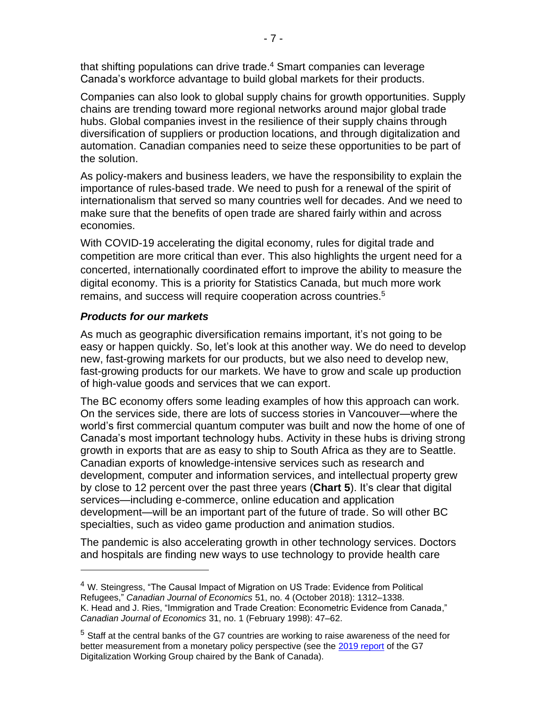that shifting populations can drive trade. <sup>4</sup> Smart companies can leverage Canada's workforce advantage to build global markets for their products.

Companies can also look to global supply chains for growth opportunities. Supply chains are trending toward more regional networks around major global trade hubs. Global companies invest in the resilience of their supply chains through diversification of suppliers or production locations, and through digitalization and automation. Canadian companies need to seize these opportunities to be part of the solution.

As policy-makers and business leaders, we have the responsibility to explain the importance of rules-based trade. We need to push for a renewal of the spirit of internationalism that served so many countries well for decades. And we need to make sure that the benefits of open trade are shared fairly within and across economies.

With COVID-19 accelerating the digital economy, rules for digital trade and competition are more critical than ever. This also highlights the urgent need for a concerted, internationally coordinated effort to improve the ability to measure the digital economy. This is a priority for Statistics Canada, but much more work remains, and success will require cooperation across countries.<sup>5</sup>

## *Products for our markets*

As much as geographic diversification remains important, it's not going to be easy or happen quickly. So, let's look at this another way. We do need to develop new, fast-growing markets for our products, but we also need to develop new, fast-growing products for our markets. We have to grow and scale up production of high-value goods and services that we can export.

The BC economy offers some leading examples of how this approach can work. On the services side, there are lots of success stories in Vancouver—where the world's first commercial quantum computer was built and now the home of one of Canada's most important technology hubs. Activity in these hubs is driving strong growth in exports that are as easy to ship to South Africa as they are to Seattle. Canadian exports of knowledge-intensive services such as research and development, computer and information services, and intellectual property grew by close to 12 percent over the past three years (**Chart 5**). It's clear that digital services—including e-commerce, online education and application development—will be an important part of the future of trade. So will other BC specialties, such as video game production and animation studios.

The pandemic is also accelerating growth in other technology services. Doctors and hospitals are finding new ways to use technology to provide health care

<sup>&</sup>lt;sup>4</sup> W. Steingress, "The Causal Impact of Migration on US Trade: Evidence from Political Refugees," *Canadian Journal of Economics* 51, no. 4 (October 2018): 1312–1338. K. Head and J. Ries, "Immigration and Trade Creation: Econometric Evidence from Canada," *Canadian Journal of Economics* 31, no. 1 (February 1998): 47–62.

<sup>&</sup>lt;sup>5</sup> Staff at the central banks of the G7 countries are working to raise awareness of the need for better measurement from a monetary policy perspective (see the [2019 report](https://www.banque-france.fr/sites/default/files/media/2019/10/04/rapport_du_groupe_de_travail_g7_sur_la_digitalisation_risks_from_waiting_under_digital_uncertainty_juillet_2019-report_of_the_g7_dwg_on_digital_uncertainty_-_titre_fr_0.pdf) of the G7 Digitalization Working Group chaired by the Bank of Canada).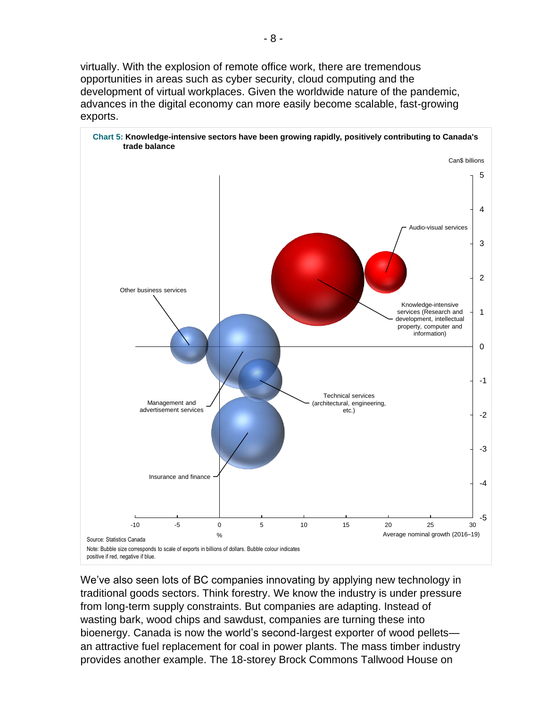virtually. With the explosion of remote office work, there are tremendous opportunities in areas such as cyber security, cloud computing and the development of virtual workplaces. Given the worldwide nature of the pandemic, advances in the digital economy can more easily become scalable, fast-growing exports.



We've also seen lots of BC companies innovating by applying new technology in traditional goods sectors. Think forestry. We know the industry is under pressure from long-term supply constraints. But companies are adapting. Instead of wasting bark, wood chips and sawdust, companies are turning these into bioenergy. Canada is now the world's second-largest exporter of wood pellets an attractive fuel replacement for coal in power plants. The mass timber industry provides another example. The 18-storey Brock Commons Tallwood House on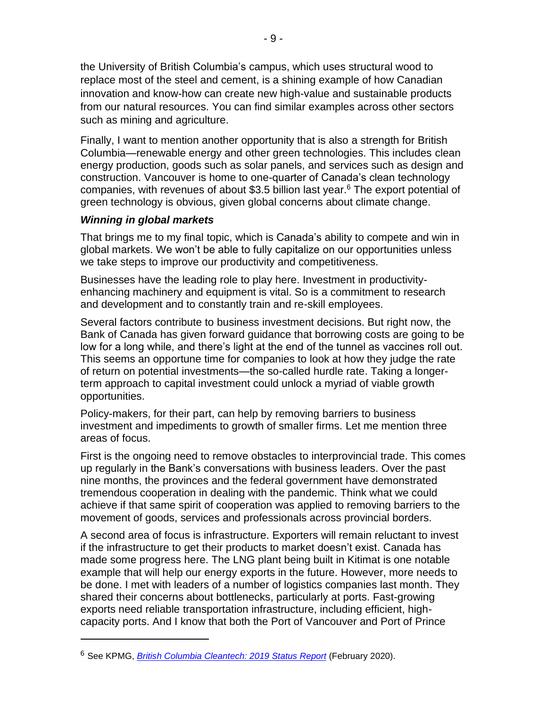the University of British Columbia's campus, which uses structural wood to replace most of the steel and cement, is a shining example of how Canadian innovation and know-how can create new high-value and sustainable products from our natural resources. You can find similar examples across other sectors such as mining and agriculture.

Finally, I want to mention another opportunity that is also a strength for British Columbia—renewable energy and other green technologies. This includes clean energy production, goods such as solar panels, and services such as design and construction. Vancouver is home to one-quarter of Canada's clean technology companies, with revenues of about \$3.5 billion last year.<sup>6</sup> The export potential of green technology is obvious, given global concerns about climate change.

### *Winning in global markets*

That brings me to my final topic, which is Canada's ability to compete and win in global markets. We won't be able to fully capitalize on our opportunities unless we take steps to improve our productivity and competitiveness.

Businesses have the leading role to play here. Investment in productivityenhancing machinery and equipment is vital. So is a commitment to research and development and to constantly train and re-skill employees.

Several factors contribute to business investment decisions. But right now, the Bank of Canada has given forward guidance that borrowing costs are going to be low for a long while, and there's light at the end of the tunnel as vaccines roll out. This seems an opportune time for companies to look at how they judge the rate of return on potential investments—the so-called hurdle rate. Taking a longerterm approach to capital investment could unlock a myriad of viable growth opportunities.

Policy-makers, for their part, can help by removing barriers to business investment and impediments to growth of smaller firms. Let me mention three areas of focus.

First is the ongoing need to remove obstacles to interprovincial trade. This comes up regularly in the Bank's conversations with business leaders. Over the past nine months, the provinces and the federal government have demonstrated tremendous cooperation in dealing with the pandemic. Think what we could achieve if that same spirit of cooperation was applied to removing barriers to the movement of goods, services and professionals across provincial borders.

A second area of focus is infrastructure. Exporters will remain reluctant to invest if the infrastructure to get their products to market doesn't exist. Canada has made some progress here. The LNG plant being built in Kitimat is one notable example that will help our energy exports in the future. However, more needs to be done. I met with leaders of a number of logistics companies last month. They shared their concerns about bottlenecks, particularly at ports. Fast-growing exports need reliable transportation infrastructure, including efficient, highcapacity ports. And I know that both the Port of Vancouver and Port of Prince

<sup>6</sup> See KPMG, *[British Columbia Cleantech: 2019 Status Report](https://assets.kpmg/content/dam/kpmg/ca/pdf/2020/02/bc-cleantech-2019-status-report.pdf)* (February 2020).